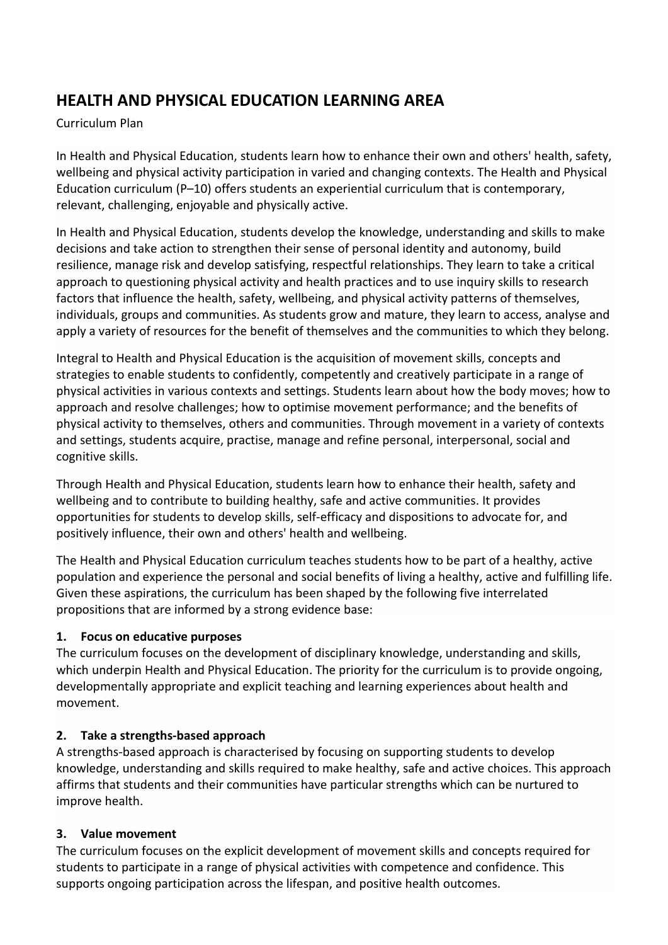# **HEALTH AND PHYSICAL EDUCATION LEARNING AREA**

#### Curriculum Plan

In Health and Physical Education, students learn how to enhance their own and others' health, safety, wellbeing and physical activity participation in varied and changing contexts. The Health and Physical Education curriculum (P–10) offers students an experiential curriculum that is contemporary, relevant, challenging, enjoyable and physically active.

In Health and Physical Education, students develop the knowledge, understanding and skills to make decisions and take action to strengthen their sense of personal identity and autonomy, build resilience, manage risk and develop satisfying, respectful relationships. They learn to take a critical approach to questioning physical activity and health practices and to use inquiry skills to research factors that influence the health, safety, wellbeing, and physical activity patterns of themselves, individuals, groups and communities. As students grow and mature, they learn to access, analyse and apply a variety of resources for the benefit of themselves and the communities to which they belong.

Integral to Health and Physical Education is the acquisition of movement skills, concepts and strategies to enable students to confidently, competently and creatively participate in a range of physical activities in various contexts and settings. Students learn about how the body moves; how to approach and resolve challenges; how to optimise movement performance; and the benefits of physical activity to themselves, others and communities. Through movement in a variety of contexts and settings, students acquire, practise, manage and refine personal, interpersonal, social and cognitive skills.

Through Health and Physical Education, students learn how to enhance their health, safety and wellbeing and to contribute to building healthy, safe and active communities. It provides opportunities for students to develop skills, self-efficacy and dispositions to advocate for, and positively influence, their own and others' health and wellbeing.

The Health and Physical Education curriculum teaches students how to be part of a healthy, active population and experience the personal and social benefits of living a healthy, active and fulfilling life. Given these aspirations, the curriculum has been shaped by the following five interrelated propositions that are informed by a strong evidence base:

## **1. Focus on educative purposes**

The curriculum focuses on the development of disciplinary knowledge, understanding and skills, which underpin Health and Physical Education. The priority for the curriculum is to provide ongoing, developmentally appropriate and explicit teaching and learning experiences about health and movement.

## **2. Take a strengths-based approach**

A strengths-based approach is characterised by focusing on supporting students to develop knowledge, understanding and skills required to make healthy, safe and active choices. This approach affirms that students and their communities have particular strengths which can be nurtured to improve health.

#### **3. Value movement**

The curriculum focuses on the explicit development of movement skills and concepts required for students to participate in a range of physical activities with competence and confidence. This supports ongoing participation across the lifespan, and positive health outcomes.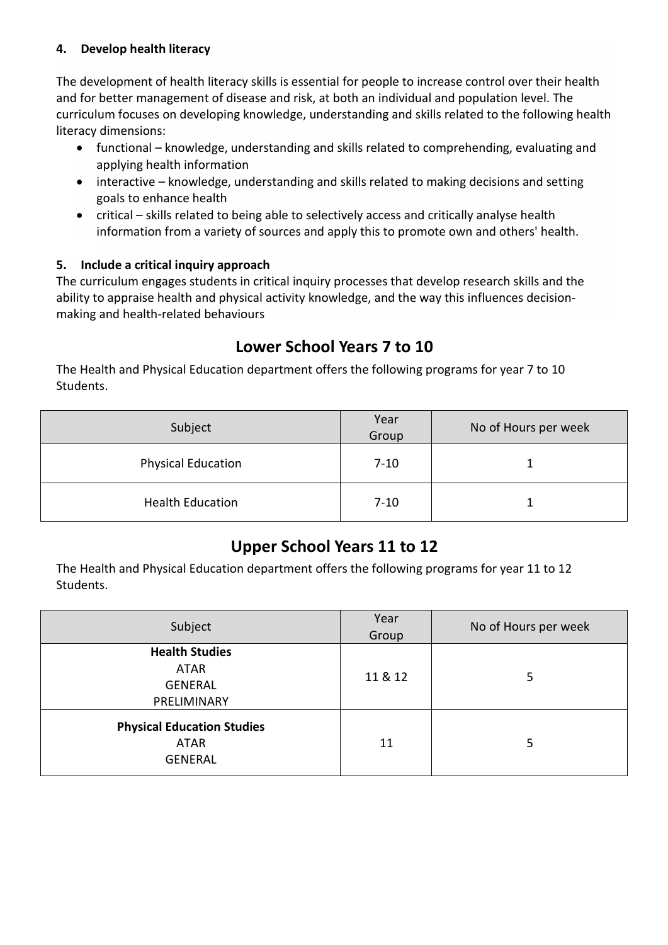#### **4. Develop health literacy**

The development of health literacy skills is essential for people to increase control over their health and for better management of disease and risk, at both an individual and population level. The curriculum focuses on developing knowledge, understanding and skills related to the following health literacy dimensions:

- functional knowledge, understanding and skills related to comprehending, evaluating and applying health information
- interactive knowledge, understanding and skills related to making decisions and setting goals to enhance health
- critical skills related to being able to selectively access and critically analyse health information from a variety of sources and apply this to promote own and others' health.

## **5. Include a critical inquiry approach**

The curriculum engages students in critical inquiry processes that develop research skills and the ability to appraise health and physical activity knowledge, and the way this influences decisionmaking and health-related behaviours

# **Lower School Years 7 to 10**

The Health and Physical Education department offers the following programs for year 7 to 10 Students.

| Subject                   | Year<br>Group | No of Hours per week |
|---------------------------|---------------|----------------------|
| <b>Physical Education</b> | $7 - 10$      |                      |
| <b>Health Education</b>   | $7 - 10$      |                      |

# **Upper School Years 11 to 12**

The Health and Physical Education department offers the following programs for year 11 to 12 Students.

| Subject                                                               | Year<br>Group | No of Hours per week |
|-----------------------------------------------------------------------|---------------|----------------------|
| <b>Health Studies</b><br><b>ATAR</b><br><b>GENERAL</b><br>PRELIMINARY | 11 & 12       | 5                    |
| <b>Physical Education Studies</b><br><b>ATAR</b><br><b>GENERAL</b>    | 11            | 5                    |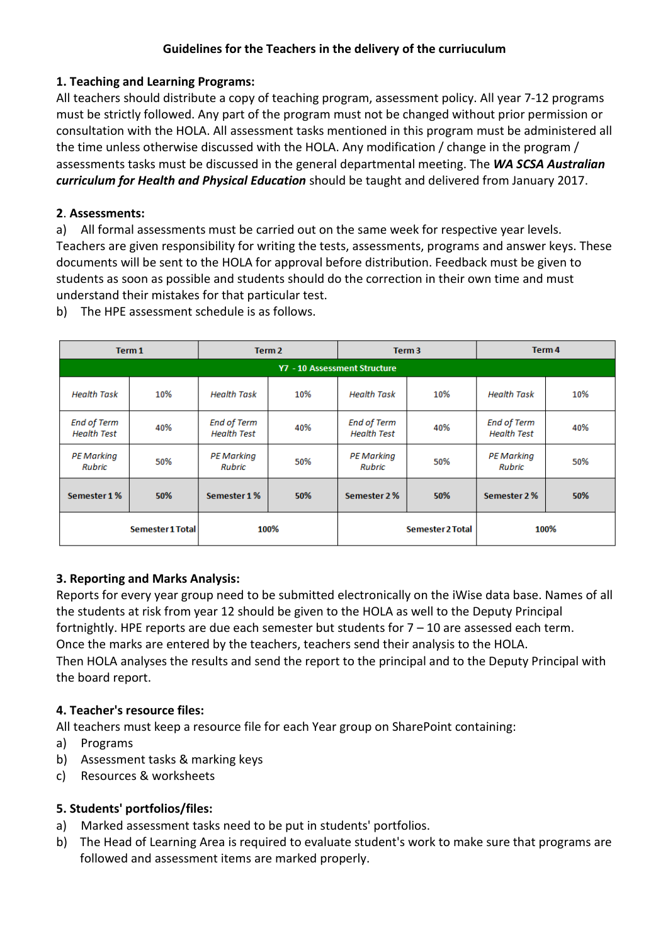#### **Guidelines for the Teachers in the delivery of the curriuculum**

#### **1. Teaching and Learning Programs:**

All teachers should distribute a copy of teaching program, assessment policy. All year 7-12 programs must be strictly followed. Any part of the program must not be changed without prior permission or consultation with the HOLA. All assessment tasks mentioned in this program must be administered all the time unless otherwise discussed with the HOLA. Any modification / change in the program / assessments tasks must be discussed in the general departmental meeting. The *WA SCSA Australian curriculum for Health and Physical Education* should be taught and delivered from January 2017.

#### **2**. **Assessments:**

a) All formal assessments must be carried out on the same week for respective year levels. Teachers are given responsibility for writing the tests, assessments, programs and answer keys. These documents will be sent to the HOLA for approval before distribution. Feedback must be given to students as soon as possible and students should do the correction in their own time and must understand their mistakes for that particular test.

|                                          | Term 1           |                                          | Term <sub>2</sub> |                                          | Term <sub>3</sub> |                                          | Term 4 |
|------------------------------------------|------------------|------------------------------------------|-------------------|------------------------------------------|-------------------|------------------------------------------|--------|
|                                          |                  |                                          |                   | Y7 - 10 Assessment Structure             |                   |                                          |        |
| <b>Health Task</b>                       | 10%              | <b>Health Task</b>                       | 10%               | <b>Health Task</b>                       | 10%               | <b>Health Task</b>                       | 10%    |
| <b>End of Term</b><br><b>Health Test</b> | 40%              | <b>End of Term</b><br><b>Health Test</b> | 40%               | <b>End of Term</b><br><b>Health Test</b> | 40%               | <b>End of Term</b><br><b>Health Test</b> | 40%    |
| <b>PE Marking</b><br><b>Rubric</b>       | 50%              | <b>PE Marking</b><br><b>Rubric</b>       | 50%               | <b>PE Marking</b><br><b>Rubric</b>       | 50%               | <b>PE Marking</b><br>Rubric              | 50%    |
| Semester 1%                              | 50%              | Semester 1%                              | 50%               | Semester 2%                              | 50%               | Semester 2%                              | 50%    |
|                                          | Semester 1 Total |                                          | 100%              |                                          | Semester 2 Total  |                                          | 100%   |

b) The HPE assessment schedule is as follows.

# **3. Reporting and Marks Analysis:**

Reports for every year group need to be submitted electronically on the iWise data base. Names of all the students at risk from year 12 should be given to the HOLA as well to the Deputy Principal fortnightly. HPE reports are due each semester but students for 7 – 10 are assessed each term. Once the marks are entered by the teachers, teachers send their analysis to the HOLA. Then HOLA analyses the results and send the report to the principal and to the Deputy Principal with the board report.

## **4. Teacher's resource files:**

All teachers must keep a resource file for each Year group on SharePoint containing:

- a) Programs
- b) Assessment tasks & marking keys
- c) Resources & worksheets

## **5. Students' portfolios/files:**

- a) Marked assessment tasks need to be put in students' portfolios.
- b) The Head of Learning Area is required to evaluate student's work to make sure that programs are followed and assessment items are marked properly.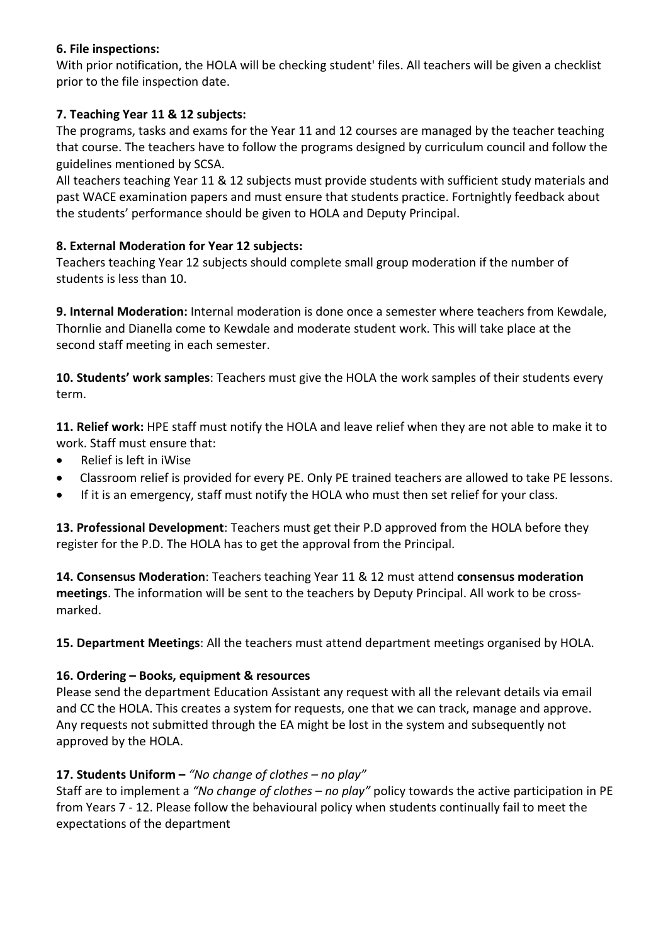#### **6. File inspections:**

With prior notification, the HOLA will be checking student' files. All teachers will be given a checklist prior to the file inspection date.

## **7. Teaching Year 11 & 12 subjects:**

The programs, tasks and exams for the Year 11 and 12 courses are managed by the teacher teaching that course. The teachers have to follow the programs designed by curriculum council and follow the guidelines mentioned by SCSA.

All teachers teaching Year 11 & 12 subjects must provide students with sufficient study materials and past WACE examination papers and must ensure that students practice. Fortnightly feedback about the students' performance should be given to HOLA and Deputy Principal.

## **8. External Moderation for Year 12 subjects:**

Teachers teaching Year 12 subjects should complete small group moderation if the number of students is less than 10.

**9. Internal Moderation:** Internal moderation is done once a semester where teachers from Kewdale, Thornlie and Dianella come to Kewdale and moderate student work. This will take place at the second staff meeting in each semester.

**10. Students' work samples**: Teachers must give the HOLA the work samples of their students every term.

**11. Relief work:** HPE staff must notify the HOLA and leave relief when they are not able to make it to work. Staff must ensure that:

- Relief is left in iWise
- Classroom relief is provided for every PE. Only PE trained teachers are allowed to take PE lessons.
- If it is an emergency, staff must notify the HOLA who must then set relief for your class.

**13. Professional Development**: Teachers must get their P.D approved from the HOLA before they register for the P.D. The HOLA has to get the approval from the Principal.

**14. Consensus Moderation**: Teachers teaching Year 11 & 12 must attend **consensus moderation meetings**. The information will be sent to the teachers by Deputy Principal. All work to be crossmarked.

**15. Department Meetings**: All the teachers must attend department meetings organised by HOLA.

# **16. Ordering – Books, equipment & resources**

Please send the department Education Assistant any request with all the relevant details via email and CC the HOLA. This creates a system for requests, one that we can track, manage and approve. Any requests not submitted through the EA might be lost in the system and subsequently not approved by the HOLA.

# **17. Students Uniform –** *"No change of clothes – no play"*

Staff are to implement a *"No change of clothes – no play"* policy towards the active participation in PE from Years 7 - 12. Please follow the behavioural policy when students continually fail to meet the expectations of the department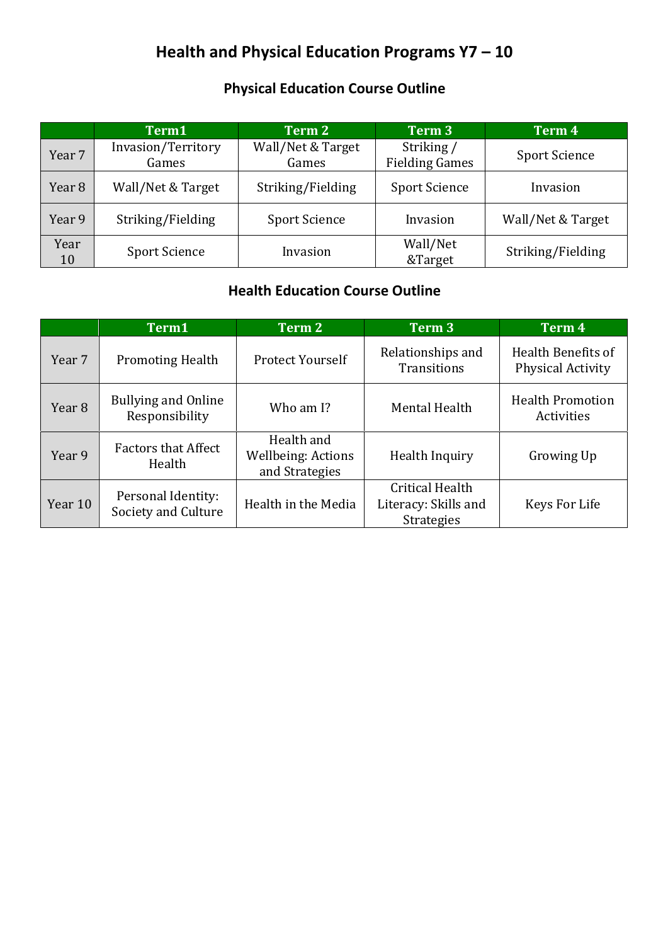# **Health and Physical Education Programs Y7 – 10**

# **Physical Education Course Outline**

|            | Term1                       | Term 2                     | Term 3                              | Term 4               |
|------------|-----------------------------|----------------------------|-------------------------------------|----------------------|
| Year 7     | Invasion/Territory<br>Games | Wall/Net & Target<br>Games | Striking /<br><b>Fielding Games</b> | <b>Sport Science</b> |
| Year 8     | Wall/Net & Target           | Striking/Fielding          | <b>Sport Science</b>                | Invasion             |
| Year 9     | Striking/Fielding           | <b>Sport Science</b>       | Invasion                            | Wall/Net & Target    |
| Year<br>10 | <b>Sport Science</b>        | Invasion                   | Wall/Net<br>&Target                 | Striking/Fielding    |

# **Health Education Course Outline**

|                   | Term1                                        | Term 2                                                    | Term 3                                                       | Term 4                                         |
|-------------------|----------------------------------------------|-----------------------------------------------------------|--------------------------------------------------------------|------------------------------------------------|
| Year 7            | <b>Promoting Health</b>                      | <b>Protect Yourself</b>                                   | Relationships and<br><b>Transitions</b>                      | Health Benefits of<br><b>Physical Activity</b> |
| Year <sub>8</sub> | <b>Bullying and Online</b><br>Responsibility | Who am I?                                                 | Mental Health                                                | <b>Health Promotion</b><br>Activities          |
| Year 9            | <b>Factors that Affect</b><br>Health         | Health and<br><b>Wellbeing: Actions</b><br>and Strategies | Health Inquiry                                               | Growing Up                                     |
| Year 10           | Personal Identity:<br>Society and Culture    | Health in the Media                                       | Critical Health<br>Literacy: Skills and<br><b>Strategies</b> | Keys For Life                                  |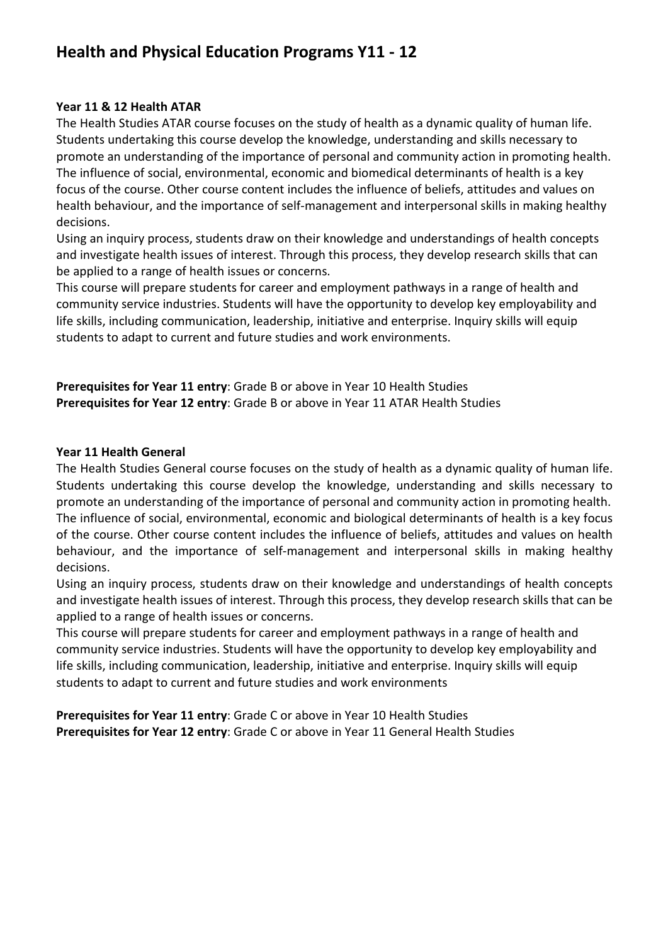# **Health and Physical Education Programs Y11 - 12**

#### **Year 11 & 12 Health ATAR**

The Health Studies ATAR course focuses on the study of health as a dynamic quality of human life. Students undertaking this course develop the knowledge, understanding and skills necessary to promote an understanding of the importance of personal and community action in promoting health. The influence of social, environmental, economic and biomedical determinants of health is a key focus of the course. Other course content includes the influence of beliefs, attitudes and values on health behaviour, and the importance of self-management and interpersonal skills in making healthy decisions.

Using an inquiry process, students draw on their knowledge and understandings of health concepts and investigate health issues of interest. Through this process, they develop research skills that can be applied to a range of health issues or concerns.

This course will prepare students for career and employment pathways in a range of health and community service industries. Students will have the opportunity to develop key employability and life skills, including communication, leadership, initiative and enterprise. Inquiry skills will equip students to adapt to current and future studies and work environments.

**Prerequisites for Year 11 entry**: Grade B or above in Year 10 Health Studies **Prerequisites for Year 12 entry**: Grade B or above in Year 11 ATAR Health Studies

#### **Year 11 Health General**

The Health Studies General course focuses on the study of health as a dynamic quality of human life. Students undertaking this course develop the knowledge, understanding and skills necessary to promote an understanding of the importance of personal and community action in promoting health. The influence of social, environmental, economic and biological determinants of health is a key focus of the course. Other course content includes the influence of beliefs, attitudes and values on health behaviour, and the importance of self-management and interpersonal skills in making healthy decisions.

Using an inquiry process, students draw on their knowledge and understandings of health concepts and investigate health issues of interest. Through this process, they develop research skills that can be applied to a range of health issues or concerns.

This course will prepare students for career and employment pathways in a range of health and community service industries. Students will have the opportunity to develop key employability and life skills, including communication, leadership, initiative and enterprise. Inquiry skills will equip students to adapt to current and future studies and work environments

**Prerequisites for Year 11 entry**: Grade C or above in Year 10 Health Studies **Prerequisites for Year 12 entry**: Grade C or above in Year 11 General Health Studies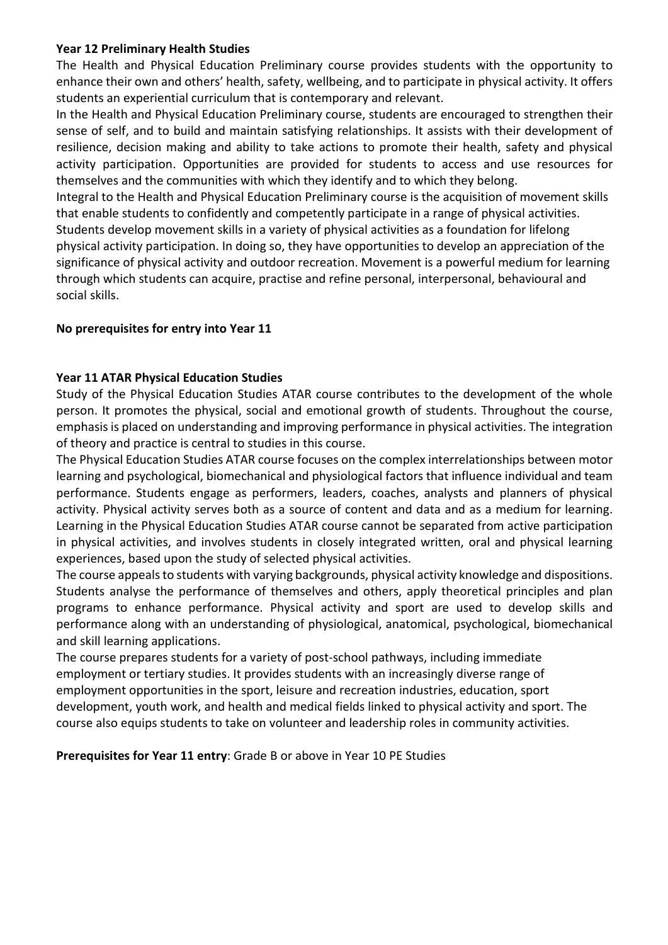#### **Year 12 Preliminary Health Studies**

The Health and Physical Education Preliminary course provides students with the opportunity to enhance their own and others' health, safety, wellbeing, and to participate in physical activity. It offers students an experiential curriculum that is contemporary and relevant.

In the Health and Physical Education Preliminary course, students are encouraged to strengthen their sense of self, and to build and maintain satisfying relationships. It assists with their development of resilience, decision making and ability to take actions to promote their health, safety and physical activity participation. Opportunities are provided for students to access and use resources for themselves and the communities with which they identify and to which they belong.

Integral to the Health and Physical Education Preliminary course is the acquisition of movement skills that enable students to confidently and competently participate in a range of physical activities. Students develop movement skills in a variety of physical activities as a foundation for lifelong physical activity participation. In doing so, they have opportunities to develop an appreciation of the significance of physical activity and outdoor recreation. Movement is a powerful medium for learning through which students can acquire, practise and refine personal, interpersonal, behavioural and social skills.

#### **No prerequisites for entry into Year 11**

#### **Year 11 ATAR Physical Education Studies**

Study of the Physical Education Studies ATAR course contributes to the development of the whole person. It promotes the physical, social and emotional growth of students. Throughout the course, emphasis is placed on understanding and improving performance in physical activities. The integration of theory and practice is central to studies in this course.

The Physical Education Studies ATAR course focuses on the complex interrelationships between motor learning and psychological, biomechanical and physiological factors that influence individual and team performance. Students engage as performers, leaders, coaches, analysts and planners of physical activity. Physical activity serves both as a source of content and data and as a medium for learning. Learning in the Physical Education Studies ATAR course cannot be separated from active participation in physical activities, and involves students in closely integrated written, oral and physical learning experiences, based upon the study of selected physical activities.

The course appeals to students with varying backgrounds, physical activity knowledge and dispositions. Students analyse the performance of themselves and others, apply theoretical principles and plan programs to enhance performance. Physical activity and sport are used to develop skills and performance along with an understanding of physiological, anatomical, psychological, biomechanical and skill learning applications.

The course prepares students for a variety of post-school pathways, including immediate employment or tertiary studies. It provides students with an increasingly diverse range of employment opportunities in the sport, leisure and recreation industries, education, sport development, youth work, and health and medical fields linked to physical activity and sport. The course also equips students to take on volunteer and leadership roles in community activities.

**Prerequisites for Year 11 entry**: Grade B or above in Year 10 PE Studies